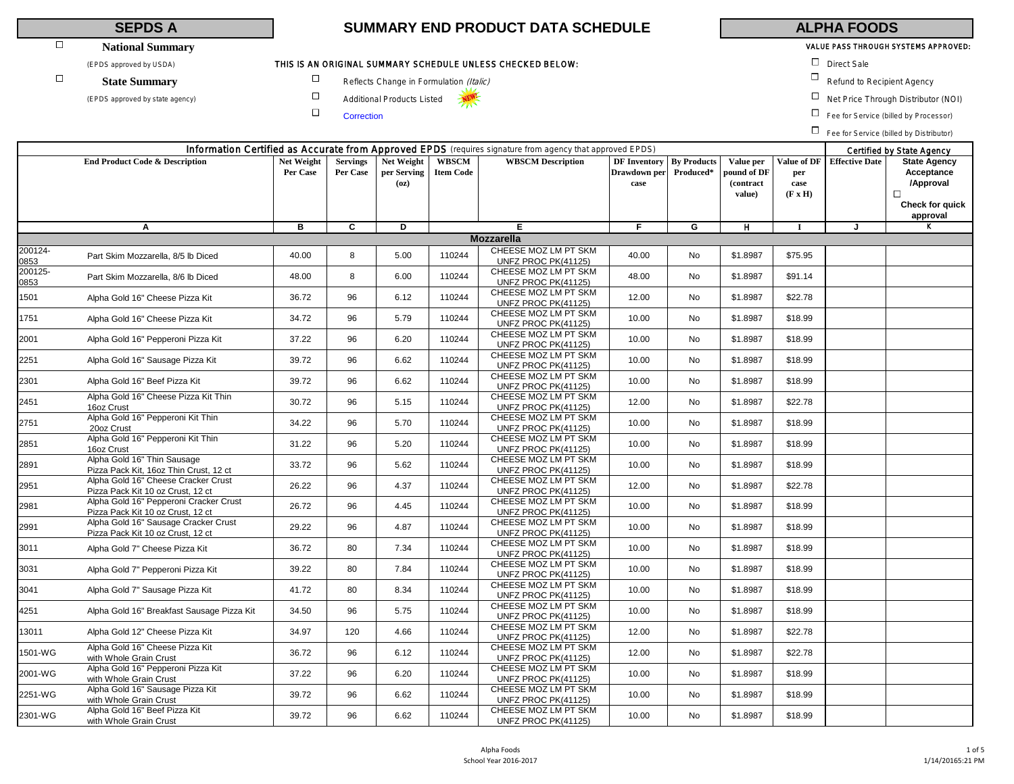# **National Summary**

(EPDS approved by USDA) **Direct Sale THIS IS AN ORIGINAL SUMMARY SCHEDULE UNLESS CHECKED BELOW:**  $\square$  Direct Sale

# $\Box$

 $\Box$ 

 $\Box$ 

# **SEPDS A SUMMARY END PRODUCT DATA SCHEDULE ALPHA FOODS**

# VALUE PASS THROUGH SYSTEMS APPROVED:

- 
- State Summary **D** Reflects Change in Formulation (Italic) Refund to Recipient Agency
- (EPDS approved by state agency) **COM** Additional Products Listed **NEW** Additional Products Listed **NEW** Additional Products Listed **NEW** Additional Products Listed **NEW** Additional Products Listed **NEW** Additional Products

 $\Box$  Fee for Service (billed by Processor)

Fee for Service (billed by Distributor)

|                 |                                                                             |                        |                             |                                   |                           | Information Certified as Accurate from Approved EPDS (requires signature from agency that approved EPDS) |                                             |                                 |                                                 |                                              |                       | Certified by State Agency                                                               |
|-----------------|-----------------------------------------------------------------------------|------------------------|-----------------------------|-----------------------------------|---------------------------|----------------------------------------------------------------------------------------------------------|---------------------------------------------|---------------------------------|-------------------------------------------------|----------------------------------------------|-----------------------|-----------------------------------------------------------------------------------------|
|                 | <b>End Product Code &amp; Description</b>                                   | Net Weight<br>Per Case | <b>Servings</b><br>Per Case | Net Weight<br>per Serving<br>(oz) | WBSCM<br><b>Item Code</b> | <b>WBSCM Description</b>                                                                                 | <b>DF</b> Inventory<br>Drawdown per<br>case | <b>By Products</b><br>Produced* | Value per<br>pound of DF<br>(contract<br>value) | Value of DF<br>per<br>case<br>$(F \times H)$ | <b>Effective Date</b> | <b>State Agency</b><br>Acceptance<br>/Approval<br>$\Box$<br>Check for quick<br>approval |
|                 | A                                                                           | в                      | $\overline{c}$              | Þ                                 |                           | Е                                                                                                        | F.                                          | G                               | H                                               | $\bf{I}$                                     | J                     |                                                                                         |
|                 |                                                                             |                        |                             |                                   |                           | <b>Mozzarella</b>                                                                                        |                                             |                                 |                                                 |                                              |                       |                                                                                         |
| 200124-<br>0853 | Part Skim Mozzarella, 8/5 lb Diced                                          | 40.00                  | 8                           | 5.00                              | 110244                    | CHEESE MOZ LM PT SKM<br>UNFZ PROC PK(41125)                                                              | 40.00                                       | No                              | \$1.8987                                        | \$75.95                                      |                       |                                                                                         |
| 200125-<br>0853 | Part Skim Mozzarella, 8/6 lb Diced                                          | 48.00                  | 8                           | 6.00                              | 110244                    | CHEESE MOZ LM PT SKM<br>UNFZ PROC PK(41125)                                                              | 48.00                                       | No                              | \$1.8987                                        | \$91.14                                      |                       |                                                                                         |
| 1501            | Alpha Gold 16" Cheese Pizza Kit                                             | 36.72                  | 96                          | 6.12                              | 110244                    | CHEESE MOZ LM PT SKM<br>UNFZ PROC PK(41125)                                                              | 12.00                                       | No                              | \$1.8987                                        | \$22.78                                      |                       |                                                                                         |
| 1751            | Alpha Gold 16" Cheese Pizza Kit                                             | 34.72                  | 96                          | 5.79                              | 110244                    | CHEESE MOZ LM PT SKM<br>UNFZ PROC PK(41125)                                                              | 10.00                                       | No                              | \$1.8987                                        | \$18.99                                      |                       |                                                                                         |
| 2001            | Alpha Gold 16" Pepperoni Pizza Kit                                          | 37.22                  | 96                          | 6.20                              | 110244                    | CHEESE MOZ LM PT SKM<br>UNFZ PROC PK(41125)                                                              | 10.00                                       | No                              | \$1.8987                                        | \$18.99                                      |                       |                                                                                         |
| 2251            | Alpha Gold 16" Sausage Pizza Kit                                            | 39.72                  | 96                          | 6.62                              | 110244                    | CHEESE MOZ LM PT SKM<br>UNFZ PROC PK(41125)                                                              | 10.00                                       | No                              | \$1.8987                                        | \$18.99                                      |                       |                                                                                         |
| 2301            | Alpha Gold 16" Beef Pizza Kit                                               | 39.72                  | 96                          | 6.62                              | 110244                    | CHEESE MOZ LM PT SKM<br>UNFZ PROC PK(41125)                                                              | 10.00                                       | No                              | \$1.8987                                        | \$18.99                                      |                       |                                                                                         |
| 2451            | Alpha Gold 16" Cheese Pizza Kit Thin<br>16oz Crust                          | 30.72                  | 96                          | 5.15                              | 110244                    | CHEESE MOZ LM PT SKM<br>UNFZ PROC PK(41125)                                                              | 12.00                                       | No                              | \$1.8987                                        | \$22.78                                      |                       |                                                                                         |
| 2751            | Alpha Gold 16" Pepperoni Kit Thin<br>20oz Crust                             | 34.22                  | 96                          | 5.70                              | 110244                    | CHEESE MOZ LM PT SKM<br>UNFZ PROC PK(41125)                                                              | 10.00                                       | No                              | \$1.8987                                        | \$18.99                                      |                       |                                                                                         |
| 2851            | Alpha Gold 16" Pepperoni Kit Thin<br>16oz Crust                             | 31.22                  | 96                          | 5.20                              | 110244                    | CHEESE MOZ LM PT SKM<br>UNFZ PROC PK(41125)                                                              | 10.00                                       | No                              | \$1.8987                                        | \$18.99                                      |                       |                                                                                         |
| 2891            | Alpha Gold 16" Thin Sausage<br>Pizza Pack Kit, 16oz Thin Crust, 12 ct       | 33.72                  | 96                          | 5.62                              | 110244                    | CHEESE MOZ LM PT SKM<br>UNFZ PROC PK(41125)                                                              | 10.00                                       | No                              | \$1.8987                                        | \$18.99                                      |                       |                                                                                         |
| 2951            | Alpha Gold 16" Cheese Cracker Crust<br>Pizza Pack Kit 10 oz Crust, 12 ct    | 26.22                  | 96                          | 4.37                              | 110244                    | CHEESE MOZ LM PT SKM<br>UNFZ PROC PK(41125)                                                              | 12.00                                       | No                              | \$1.8987                                        | \$22.78                                      |                       |                                                                                         |
| 2981            | Alpha Gold 16" Pepperoni Cracker Crust<br>Pizza Pack Kit 10 oz Crust, 12 ct | 26.72                  | 96                          | 4.45                              | 110244                    | CHEESE MOZ LM PT SKM<br>UNFZ PROC PK(41125)                                                              | 10.00                                       | No                              | \$1.8987                                        | \$18.99                                      |                       |                                                                                         |
| 2991            | Alpha Gold 16" Sausage Cracker Crust<br>Pizza Pack Kit 10 oz Crust, 12 ct   | 29.22                  | 96                          | 4.87                              | 110244                    | CHEESE MOZ LM PT SKM<br>UNFZ PROC PK(41125)                                                              | 10.00                                       | <b>No</b>                       | \$1.8987                                        | \$18.99                                      |                       |                                                                                         |
| 3011            | Alpha Gold 7" Cheese Pizza Kit                                              | 36.72                  | 80                          | 7.34                              | 110244                    | CHEESE MOZ LM PT SKM<br>UNFZ PROC PK(41125)                                                              | 10.00                                       | No                              | \$1.8987                                        | \$18.99                                      |                       |                                                                                         |
| 3031            | Alpha Gold 7" Pepperoni Pizza Kit                                           | 39.22                  | 80                          | 7.84                              | 110244                    | CHEESE MOZ LM PT SKM<br>UNFZ PROC PK(41125)                                                              | 10.00                                       | No                              | \$1.8987                                        | \$18.99                                      |                       |                                                                                         |
| 3041            | Alpha Gold 7" Sausage Pizza Kit                                             | 41.72                  | 80                          | 8.34                              | 110244                    | CHEESE MOZ LM PT SKM<br>UNFZ PROC PK(41125)                                                              | 10.00                                       | <b>No</b>                       | \$1.8987                                        | \$18.99                                      |                       |                                                                                         |
| 4251            | Alpha Gold 16" Breakfast Sausage Pizza Kit                                  | 34.50                  | 96                          | 5.75                              | 110244                    | CHEESE MOZ LM PT SKM<br>UNFZ PROC PK(41125)                                                              | 10.00                                       | No                              | \$1.8987                                        | \$18.99                                      |                       |                                                                                         |
| 13011           | Alpha Gold 12" Cheese Pizza Kit                                             | 34.97                  | 120                         | 4.66                              | 110244                    | CHEESE MOZ LM PT SKM<br><b>UNFZ PROC PK(41125)</b>                                                       | 12.00                                       | No                              | \$1.8987                                        | \$22.78                                      |                       |                                                                                         |
| 1501-WG         | Alpha Gold 16" Cheese Pizza Kit<br>with Whole Grain Crust                   | 36.72                  | 96                          | 6.12                              | 110244                    | CHEESE MOZ LM PT SKM<br>UNFZ PROC PK(41125)                                                              | 12.00                                       | No                              | \$1.8987                                        | \$22.78                                      |                       |                                                                                         |
| 2001-WG         | Alpha Gold 16" Pepperoni Pizza Kit<br>with Whole Grain Crust                | 37.22                  | 96                          | 6.20                              | 110244                    | CHEESE MOZ LM PT SKM<br>UNFZ PROC PK(41125)                                                              | 10.00                                       | No                              | \$1.8987                                        | \$18.99                                      |                       |                                                                                         |
| 2251-WG         | Alpha Gold 16" Sausage Pizza Kit<br>with Whole Grain Crust                  | 39.72                  | 96                          | 6.62                              | 110244                    | CHEESE MOZ LM PT SKM<br>UNFZ PROC PK(41125)                                                              | 10.00                                       | No                              | \$1.8987                                        | \$18.99                                      |                       |                                                                                         |
| 2301-WG         | Alpha Gold 16" Beef Pizza Kit<br>with Whole Grain Crust                     | 39.72                  | 96                          | 6.62                              | 110244                    | CHEESE MOZ LM PT SKM<br>UNFZ PROC PK(41125)                                                              | 10.00                                       | No                              | \$1.8987                                        | \$18.99                                      |                       |                                                                                         |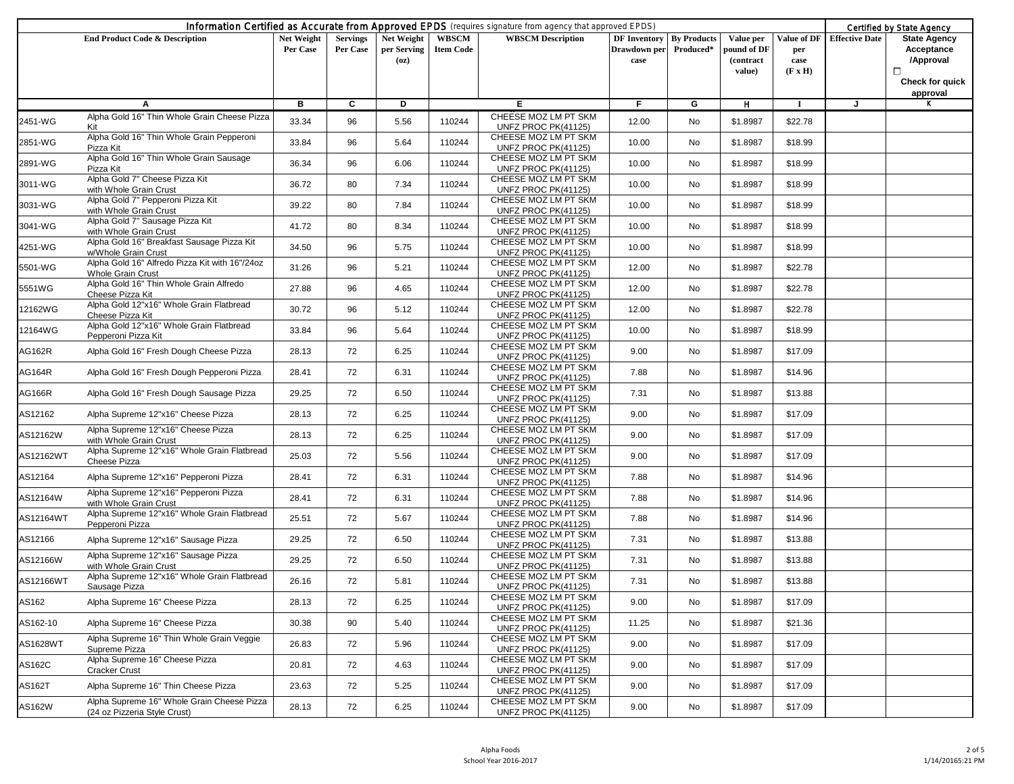|           |                                                                            | Information Certified as Accurate from Approved EPDS (requires signature from agency that approved EPDS) |                             |                                   |                           |                                             |                                                         | Certified by State Agency |                                                 |                                              |                       |                                                                                    |
|-----------|----------------------------------------------------------------------------|----------------------------------------------------------------------------------------------------------|-----------------------------|-----------------------------------|---------------------------|---------------------------------------------|---------------------------------------------------------|---------------------------|-------------------------------------------------|----------------------------------------------|-----------------------|------------------------------------------------------------------------------------|
|           | <b>End Product Code &amp; Description</b>                                  | Net Weight<br>Per Case                                                                                   | <b>Servings</b><br>Per Case | Net Weight<br>per Serving<br>(oz) | WBSCM<br><b>Item Code</b> | <b>WBSCM</b> Description                    | <b>DF Inventory By Products</b><br>Drawdown per<br>case | Produced*                 | Value per<br>pound of DF<br>(contract<br>value) | Value of DF<br>per<br>case<br>$(F \times H)$ | <b>Effective Date</b> | <b>State Agency</b><br>Acceptance<br>/Approval<br>□<br>Check for quick<br>approval |
|           | A                                                                          | в                                                                                                        | C                           | Þ                                 |                           | E.                                          | F.                                                      | G                         | н                                               | -1                                           | J                     | ĸ                                                                                  |
| 2451-WG   | Alpha Gold 16" Thin Whole Grain Cheese Pizza<br>Kit                        | 33.34                                                                                                    | 96                          | 5.56                              | 110244                    | CHEESE MOZ LM PT SKM<br>UNFZ PROC PK(41125) | 12.00                                                   | No                        | \$1.8987                                        | \$22.78                                      |                       |                                                                                    |
| 2851-WG   | Alpha Gold 16" Thin Whole Grain Pepperoni<br>Pizza Kit                     | 33.84                                                                                                    | 96                          | 5.64                              | 110244                    | CHEESE MOZ LM PT SKM<br>UNFZ PROC PK(41125) | 10.00                                                   | No                        | \$1.8987                                        | \$18.99                                      |                       |                                                                                    |
| 2891-WG   | Alpha Gold 16" Thin Whole Grain Sausage<br>Pizza Kit                       | 36.34                                                                                                    | 96                          | 6.06                              | 110244                    | CHEESE MOZ LM PT SKM<br>UNFZ PROC PK(41125) | 10.00                                                   | No                        | \$1.8987                                        | \$18.99                                      |                       |                                                                                    |
| 3011-WG   | Alpha Gold 7" Cheese Pizza Kit<br>with Whole Grain Crust                   | 36.72                                                                                                    | 80                          | 7.34                              | 110244                    | CHEESE MOZ LM PT SKM<br>UNFZ PROC PK(41125) | 10.00                                                   | No                        | \$1.8987                                        | \$18.99                                      |                       |                                                                                    |
| 3031-WG   | Alpha Gold 7" Pepperoni Pizza Kit<br>with Whole Grain Crust                | 39.22                                                                                                    | 80                          | 7.84                              | 110244                    | CHEESE MOZ LM PT SKM<br>UNFZ PROC PK(41125) | 10.00                                                   | No                        | \$1.8987                                        | \$18.99                                      |                       |                                                                                    |
| 3041-WG   | Alpha Gold 7" Sausage Pizza Kit<br>with Whole Grain Crust                  | 41.72                                                                                                    | 80                          | 8.34                              | 110244                    | CHEESE MOZ LM PT SKM<br>UNFZ PROC PK(41125) | 10.00                                                   | No                        | \$1.8987                                        | \$18.99                                      |                       |                                                                                    |
| 4251-WG   | Alpha Gold 16" Breakfast Sausage Pizza Kit<br>w/Whole Grain Crust          | 34.50                                                                                                    | 96                          | 5.75                              | 110244                    | CHEESE MOZ LM PT SKM<br>UNFZ PROC PK(41125) | 10.00                                                   | No                        | \$1.8987                                        | \$18.99                                      |                       |                                                                                    |
| 5501-WG   | Alpha Gold 16" Alfredo Pizza Kit with 16"/24oz<br><b>Whole Grain Crust</b> | 31.26                                                                                                    | 96                          | 5.21                              | 110244                    | CHEESE MOZ LM PT SKM<br>UNFZ PROC PK(41125) | 12.00                                                   | No                        | \$1.8987                                        | \$22.78                                      |                       |                                                                                    |
| 5551WG    | Alpha Gold 16" Thin Whole Grain Alfredo<br>Cheese Pizza Kit                | 27.88                                                                                                    | 96                          | 4.65                              | 110244                    | CHEESE MOZ LM PT SKM<br>UNFZ PROC PK(41125) | 12.00                                                   | No                        | \$1.8987                                        | \$22.78                                      |                       |                                                                                    |
| 12162WG   | Alpha Gold 12"x16" Whole Grain Flatbread<br>Cheese Pizza Kit               | 30.72                                                                                                    | 96                          | 5.12                              | 110244                    | CHEESE MOZ LM PT SKM<br>UNFZ PROC PK(41125) | 12.00                                                   | No                        | \$1.8987                                        | \$22.78                                      |                       |                                                                                    |
| 12164WG   | Alpha Gold 12"x16" Whole Grain Flatbread<br>Pepperoni Pizza Kit            | 33.84                                                                                                    | 96                          | 5.64                              | 110244                    | CHEESE MOZ LM PT SKM<br>UNFZ PROC PK(41125) | 10.00                                                   | No                        | \$1.8987                                        | \$18.99                                      |                       |                                                                                    |
| AG162R    | Alpha Gold 16" Fresh Dough Cheese Pizza                                    | 28.13                                                                                                    | 72                          | 6.25                              | 110244                    | CHEESE MOZ LM PT SKM<br>UNFZ PROC PK(41125) | 9.00                                                    | No                        | \$1.8987                                        | \$17.09                                      |                       |                                                                                    |
| AG164R    | Alpha Gold 16" Fresh Dough Pepperoni Pizza                                 | 28.41                                                                                                    | 72                          | 6.31                              | 110244                    | CHEESE MOZ LM PT SKM<br>UNFZ PROC PK(41125) | 7.88                                                    | No                        | \$1.8987                                        | \$14.96                                      |                       |                                                                                    |
| AG166R    | Alpha Gold 16" Fresh Dough Sausage Pizza                                   | 29.25                                                                                                    | 72                          | 6.50                              | 110244                    | CHEESE MOZ LM PT SKM<br>UNFZ PROC PK(41125) | 7.31                                                    | No                        | \$1.8987                                        | \$13.88                                      |                       |                                                                                    |
| AS12162   | Alpha Supreme 12"x16" Cheese Pizza                                         | 28.13                                                                                                    | 72                          | 6.25                              | 110244                    | CHEESE MOZ LM PT SKM<br>UNFZ PROC PK(41125) | 9.00                                                    | No                        | \$1.8987                                        | \$17.09                                      |                       |                                                                                    |
| AS12162W  | Alpha Supreme 12"x16" Cheese Pizza<br>with Whole Grain Crust               | 28.13                                                                                                    | 72                          | 6.25                              | 110244                    | CHEESE MOZ LM PT SKM<br>UNFZ PROC PK(41125) | 9.00                                                    | No                        | \$1.8987                                        | \$17.09                                      |                       |                                                                                    |
| AS12162WT | Alpha Supreme 12"x16" Whole Grain Flatbread<br>Cheese Pizza                | 25.03                                                                                                    | 72                          | 5.56                              | 110244                    | CHEESE MOZ LM PT SKM<br>UNFZ PROC PK(41125) | 9.00                                                    | No                        | \$1.8987                                        | \$17.09                                      |                       |                                                                                    |
| AS12164   | Alpha Supreme 12"x16" Pepperoni Pizza                                      | 28.41                                                                                                    | 72                          | 6.31                              | 110244                    | CHEESE MOZ LM PT SKM<br>UNFZ PROC PK(41125) | 7.88                                                    | No                        | \$1.8987                                        | \$14.96                                      |                       |                                                                                    |
| AS12164W  | Alpha Supreme 12"x16" Pepperoni Pizza<br>with Whole Grain Crust            | 28.41                                                                                                    | 72                          | 6.31                              | 110244                    | CHEESE MOZ LM PT SKM<br>UNFZ PROC PK(41125) | 7.88                                                    | No                        | \$1.8987                                        | \$14.96                                      |                       |                                                                                    |
| AS12164WT | Alpha Supreme 12"x16" Whole Grain Flatbread<br>Pepperoni Pizza             | 25.51                                                                                                    | 72                          | 5.67                              | 110244                    | CHEESE MOZ LM PT SKM<br>UNFZ PROC PK(41125) | 7.88                                                    | No                        | \$1.8987                                        | \$14.96                                      |                       |                                                                                    |
| AS12166   | Alpha Supreme 12"x16" Sausage Pizza                                        | 29.25                                                                                                    | 72                          | 6.50                              | 110244                    | CHEESE MOZ LM PT SKM<br>UNFZ PROC PK(41125) | 7.31                                                    | No                        | \$1.8987                                        | \$13.88                                      |                       |                                                                                    |
| AS12166W  | Alpha Supreme 12"x16" Sausage Pizza<br>with Whole Grain Crust              | 29.25                                                                                                    | 72                          | 6.50                              | 110244                    | CHEESE MOZ LM PT SKM<br>UNFZ PROC PK(41125) | 7.31                                                    | No                        | \$1.8987                                        | \$13.88                                      |                       |                                                                                    |
| AS12166WT | Alpha Supreme 12"x16" Whole Grain Flatbread<br>Sausage Pizza               | 26.16                                                                                                    | 72                          | 5.81                              | 110244                    | CHEESE MOZ LM PT SKM<br>UNFZ PROC PK(41125) | 7.31                                                    | No                        | \$1.8987                                        | \$13.88                                      |                       |                                                                                    |
| AS162     | Alpha Supreme 16" Cheese Pizza                                             | 28.13                                                                                                    | 72                          | 6.25                              | 110244                    | CHEESE MOZ LM PT SKM<br>UNFZ PROC PK(41125) | 9.00                                                    | No                        | \$1.8987                                        | \$17.09                                      |                       |                                                                                    |
| AS162-10  | Alpha Supreme 16" Cheese Pizza                                             | 30.38                                                                                                    | 90                          | 5.40                              | 110244                    | CHEESE MOZ LM PT SKM<br>UNFZ PROC PK(41125) | 11.25                                                   | No                        | \$1.8987                                        | \$21.36                                      |                       |                                                                                    |
| AS1628WT  | Alpha Supreme 16" Thin Whole Grain Veggie<br>Supreme Pizza                 | 26.83                                                                                                    | 72                          | 5.96                              | 110244                    | CHEESE MOZ LM PT SKM<br>UNFZ PROC PK(41125) | 9.00                                                    | No                        | \$1.8987                                        | \$17.09                                      |                       |                                                                                    |
| AS162C    | Alpha Supreme 16" Cheese Pizza<br><b>Cracker Crust</b>                     | 20.81                                                                                                    | 72                          | 4.63                              | 110244                    | CHEESE MOZ LM PT SKM<br>UNFZ PROC PK(41125) | 9.00                                                    | No                        | \$1.8987                                        | \$17.09                                      |                       |                                                                                    |
| AS162T    | Alpha Supreme 16" Thin Cheese Pizza                                        | 23.63                                                                                                    | 72                          | 5.25                              | 110244                    | CHEESE MOZ LM PT SKM<br>UNFZ PROC PK(41125) | 9.00                                                    | No                        | \$1.8987                                        | \$17.09                                      |                       |                                                                                    |
| AS162W    | Alpha Supreme 16" Whole Grain Cheese Pizza<br>(24 oz Pizzeria Style Crust) | 28.13                                                                                                    | 72                          | 6.25                              | 110244                    | CHEESE MOZ LM PT SKM<br>UNFZ PROC PK(41125) | 9.00                                                    | No                        | \$1.8987                                        | \$17.09                                      |                       |                                                                                    |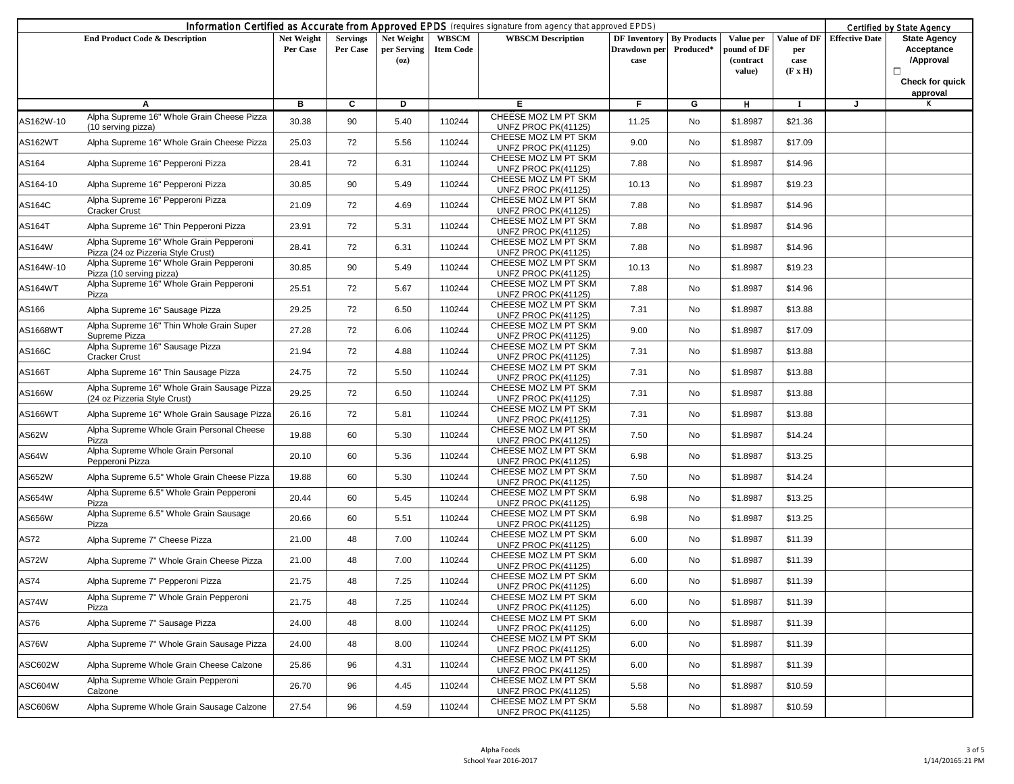|           | Information Certified as Accurate from Approved EPDS (requires signature from agency that approved EPDS) |                        |                             |                                   |                                  |                                             |                                                         |           |                                                 | Certified by State Agency                    |                       |                                                                                    |
|-----------|----------------------------------------------------------------------------------------------------------|------------------------|-----------------------------|-----------------------------------|----------------------------------|---------------------------------------------|---------------------------------------------------------|-----------|-------------------------------------------------|----------------------------------------------|-----------------------|------------------------------------------------------------------------------------|
|           | <b>End Product Code &amp; Description</b>                                                                | Net Weight<br>Per Case | <b>Servings</b><br>Per Case | Net Weight<br>per Serving<br>(oz) | <b>WBSCM</b><br><b>Item Code</b> | <b>WBSCM</b> Description                    | <b>DF Inventory By Products</b><br>Drawdown per<br>case | Produced* | Value per<br>pound of DF<br>(contract<br>value) | Value of DF<br>per<br>case<br>$(F \times H)$ | <b>Effective Date</b> | <b>State Agency</b><br>Acceptance<br>/Approval<br>□<br>Check for quick<br>approval |
|           | A                                                                                                        | в                      | C                           | Þ                                 |                                  | E.                                          | F.                                                      | G         | H                                               | -1                                           | J                     | ĸ                                                                                  |
| AS162W-10 | Alpha Supreme 16" Whole Grain Cheese Pizza<br>(10 serving pizza)                                         | 30.38                  | 90                          | 5.40                              | 110244                           | CHEESE MOZ LM PT SKM<br>UNFZ PROC PK(41125) | 11.25                                                   | No        | \$1.8987                                        | \$21.36                                      |                       |                                                                                    |
| AS162WT   | Alpha Supreme 16" Whole Grain Cheese Pizza                                                               | 25.03                  | 72                          | 5.56                              | 110244                           | CHEESE MOZ LM PT SKM<br>UNFZ PROC PK(41125) | 9.00                                                    | No        | \$1.8987                                        | \$17.09                                      |                       |                                                                                    |
| AS164     | Alpha Supreme 16" Pepperoni Pizza                                                                        | 28.41                  | 72                          | 6.31                              | 110244                           | CHEESE MOZ LM PT SKM<br>UNFZ PROC PK(41125) | 7.88                                                    | No        | \$1.8987                                        | \$14.96                                      |                       |                                                                                    |
| AS164-10  | Alpha Supreme 16" Pepperoni Pizza                                                                        | 30.85                  | 90                          | 5.49                              | 110244                           | CHEESE MOZ LM PT SKM<br>UNFZ PROC PK(41125) | 10.13                                                   | No        | \$1.8987                                        | \$19.23                                      |                       |                                                                                    |
| AS164C    | Alpha Supreme 16" Pepperoni Pizza<br><b>Cracker Crust</b>                                                | 21.09                  | 72                          | 4.69                              | 110244                           | CHEESE MOZ LM PT SKM<br>UNFZ PROC PK(41125) | 7.88                                                    | No        | \$1.8987                                        | \$14.96                                      |                       |                                                                                    |
| AS164T    | Alpha Supreme 16" Thin Pepperoni Pizza                                                                   | 23.91                  | 72                          | 5.31                              | 110244                           | CHEESE MOZ LM PT SKM<br>UNFZ PROC PK(41125) | 7.88                                                    | No        | \$1.8987                                        | \$14.96                                      |                       |                                                                                    |
| AS164W    | Alpha Supreme 16" Whole Grain Pepperoni<br>Pizza (24 oz Pizzeria Style Crust)                            | 28.41                  | 72                          | 6.31                              | 110244                           | CHEESE MOZ LM PT SKM<br>UNFZ PROC PK(41125) | 7.88                                                    | No        | \$1.8987                                        | \$14.96                                      |                       |                                                                                    |
| AS164W-10 | Alpha Supreme 16" Whole Grain Pepperoni<br>Pizza (10 serving pizza)                                      | 30.85                  | 90                          | 5.49                              | 110244                           | CHEESE MOZ LM PT SKM<br>UNFZ PROC PK(41125) | 10.13                                                   | <b>No</b> | \$1.8987                                        | \$19.23                                      |                       |                                                                                    |
| AS164WT   | Alpha Supreme 16" Whole Grain Pepperoni<br>Pizza                                                         | 25.51                  | 72                          | 5.67                              | 110244                           | CHEESE MOZ LM PT SKM<br>UNFZ PROC PK(41125) | 7.88                                                    | No        | \$1.8987                                        | \$14.96                                      |                       |                                                                                    |
| AS166     | Alpha Supreme 16" Sausage Pizza                                                                          | 29.25                  | 72                          | 6.50                              | 110244                           | CHEESE MOZ LM PT SKM<br>UNFZ PROC PK(41125) | 7.31                                                    | No        | \$1.8987                                        | \$13.88                                      |                       |                                                                                    |
| AS1668WT  | Alpha Supreme 16" Thin Whole Grain Super<br>Supreme Pizza                                                | 27.28                  | 72                          | 6.06                              | 110244                           | CHEESE MOZ LM PT SKM<br>UNFZ PROC PK(41125) | 9.00                                                    | No        | \$1.8987                                        | \$17.09                                      |                       |                                                                                    |
| AS166C    | Alpha Supreme 16" Sausage Pizza<br><b>Cracker Crust</b>                                                  | 21.94                  | 72                          | 4.88                              | 110244                           | CHEESE MOZ LM PT SKM<br>UNFZ PROC PK(41125) | 7.31                                                    | No        | \$1.8987                                        | \$13.88                                      |                       |                                                                                    |
| AS166T    | Alpha Supreme 16" Thin Sausage Pizza                                                                     | 24.75                  | 72                          | 5.50                              | 110244                           | CHEESE MOZ LM PT SKM<br>UNFZ PROC PK(41125) | 7.31                                                    | No        | \$1.8987                                        | \$13.88                                      |                       |                                                                                    |
| AS166W    | Alpha Supreme 16" Whole Grain Sausage Pizza<br>(24 oz Pizzeria Style Crust)                              | 29.25                  | 72                          | 6.50                              | 110244                           | CHEESE MOZ LM PT SKM<br>UNFZ PROC PK(41125) | 7.31                                                    | No        | \$1.8987                                        | \$13.88                                      |                       |                                                                                    |
| AS166WT   | Alpha Supreme 16" Whole Grain Sausage Pizza                                                              | 26.16                  | 72                          | 5.81                              | 110244                           | CHEESE MOZ LM PT SKM<br>UNFZ PROC PK(41125) | 7.31                                                    | No        | \$1.8987                                        | \$13.88                                      |                       |                                                                                    |
| AS62W     | Alpha Supreme Whole Grain Personal Cheese<br>Pizza                                                       | 19.88                  | 60                          | 5.30                              | 110244                           | CHEESE MOZ LM PT SKM<br>UNFZ PROC PK(41125) | 7.50                                                    | <b>No</b> | \$1.8987                                        | \$14.24                                      |                       |                                                                                    |
| AS64W     | Alpha Supreme Whole Grain Personal<br>Pepperoni Pizza                                                    | 20.10                  | 60                          | 5.36                              | 110244                           | CHEESE MOZ LM PT SKM<br>UNFZ PROC PK(41125) | 6.98                                                    | No        | \$1.8987                                        | \$13.25                                      |                       |                                                                                    |
| AS652W    | Alpha Supreme 6.5" Whole Grain Cheese Pizza                                                              | 19.88                  | 60                          | 5.30                              | 110244                           | CHEESE MOZ LM PT SKM<br>UNFZ PROC PK(41125) | 7.50                                                    | No        | \$1.8987                                        | \$14.24                                      |                       |                                                                                    |
| AS654W    | Alpha Supreme 6.5" Whole Grain Pepperoni<br>Pizza                                                        | 20.44                  | 60                          | 5.45                              | 110244                           | CHEESE MOZ LM PT SKM<br>UNFZ PROC PK(41125) | 6.98                                                    | No        | \$1.8987                                        | \$13.25                                      |                       |                                                                                    |
| AS656W    | Alpha Supreme 6.5" Whole Grain Sausage<br>Pizza                                                          | 20.66                  | 60                          | 5.51                              | 110244                           | CHEESE MOZ LM PT SKM<br>UNFZ PROC PK(41125) | 6.98                                                    | No        | \$1.8987                                        | \$13.25                                      |                       |                                                                                    |
| AS72      | Alpha Supreme 7" Cheese Pizza                                                                            | 21.00                  | 48                          | 7.00                              | 110244                           | CHEESE MOZ LM PT SKM<br>UNFZ PROC PK(41125) | 6.00                                                    | No        | \$1.8987                                        | \$11.39                                      |                       |                                                                                    |
| AS72W     | Alpha Supreme 7" Whole Grain Cheese Pizza                                                                | 21.00                  | 48                          | 7.00                              | 110244                           | CHEESE MOZ LM PT SKM<br>UNFZ PROC PK(41125) | 6.00                                                    | No        | \$1.8987                                        | \$11.39                                      |                       |                                                                                    |
| AS74      | Alpha Supreme 7" Pepperoni Pizza                                                                         | 21.75                  | 48                          | 7.25                              | 110244                           | CHEESE MOZ LM PT SKM<br>UNFZ PROC PK(41125) | 6.00                                                    | No        | \$1.8987                                        | \$11.39                                      |                       |                                                                                    |
| AS74W     | Alpha Supreme 7" Whole Grain Pepperoni<br>Pizza                                                          | 21.75                  | 48                          | 7.25                              | 110244                           | CHEESE MOZ LM PT SKM<br>UNFZ PROC PK(41125) | 6.00                                                    | No        | \$1.8987                                        | \$11.39                                      |                       |                                                                                    |
| AS76      | Alpha Supreme 7" Sausage Pizza                                                                           | 24.00                  | 48                          | 8.00                              | 110244                           | CHEESE MOZ LM PT SKM<br>UNFZ PROC PK(41125) | 6.00                                                    | No        | \$1.8987                                        | \$11.39                                      |                       |                                                                                    |
| AS76W     | Alpha Supreme 7" Whole Grain Sausage Pizza                                                               | 24.00                  | 48                          | 8.00                              | 110244                           | CHEESE MOZ LM PT SKM<br>UNFZ PROC PK(41125) | 6.00                                                    | No        | \$1.8987                                        | \$11.39                                      |                       |                                                                                    |
| ASC602W   | Alpha Supreme Whole Grain Cheese Calzone                                                                 | 25.86                  | 96                          | 4.31                              | 110244                           | CHEESE MOZ LM PT SKM<br>UNFZ PROC PK(41125) | 6.00                                                    | No        | \$1.8987                                        | \$11.39                                      |                       |                                                                                    |
| ASC604W   | Alpha Supreme Whole Grain Pepperoni<br>Calzone                                                           | 26.70                  | 96                          | 4.45                              | 110244                           | CHEESE MOZ LM PT SKM<br>UNFZ PROC PK(41125) | 5.58                                                    | No        | \$1.8987                                        | \$10.59                                      |                       |                                                                                    |
| ASC606W   | Alpha Supreme Whole Grain Sausage Calzone                                                                | 27.54                  | 96                          | 4.59                              | 110244                           | CHEESE MOZ LM PT SKM<br>UNFZ PROC PK(41125) | 5.58                                                    | No        | \$1.8987                                        | \$10.59                                      |                       |                                                                                    |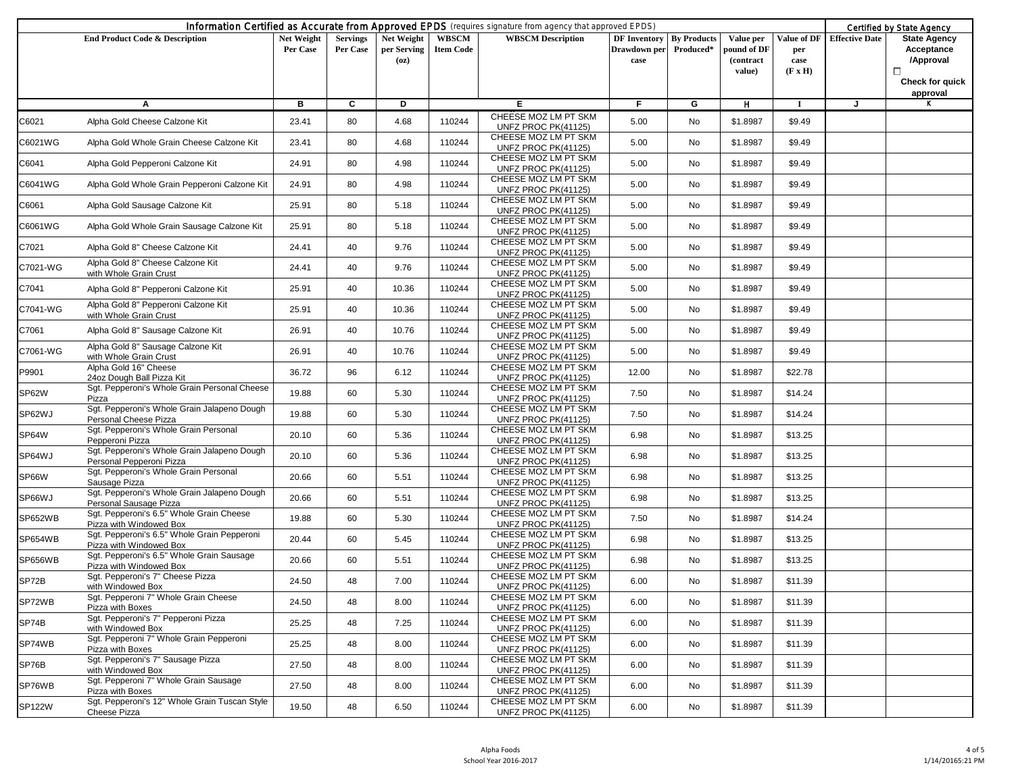|               |                                                                         |                        |                             |                                   |                           | Information Certified as Accurate from Approved EPDS (requires signature from agency that approved EPDS) |                                                         |           |                                                 |                                              |                       | Certified by State Agency                                                               |
|---------------|-------------------------------------------------------------------------|------------------------|-----------------------------|-----------------------------------|---------------------------|----------------------------------------------------------------------------------------------------------|---------------------------------------------------------|-----------|-------------------------------------------------|----------------------------------------------|-----------------------|-----------------------------------------------------------------------------------------|
|               | <b>End Product Code &amp; Description</b>                               | Net Weight<br>Per Case | <b>Servings</b><br>Per Case | Net Weight<br>per Serving<br>(oz) | WBSCM<br><b>Item Code</b> | <b>WBSCM</b> Description                                                                                 | <b>DF Inventory By Products</b><br>Drawdown per<br>case | Produced* | Value per<br>pound of DF<br>(contract<br>value) | Value of DF<br>per<br>case<br>$(F \times H)$ | <b>Effective Date</b> | <b>State Agency</b><br>Acceptance<br>/Approval<br>$\Box$<br>Check for quick<br>approval |
|               | A                                                                       | в                      | C                           | D                                 |                           | Е                                                                                                        | F.                                                      | G         | н                                               | -1                                           | J                     | ĸ                                                                                       |
| C6021         | Alpha Gold Cheese Calzone Kit                                           | 23.41                  | 80                          | 4.68                              | 110244                    | CHEESE MOZ LM PT SKM<br>UNFZ PROC PK(41125)                                                              | 5.00                                                    | No        | \$1.8987                                        | \$9.49                                       |                       |                                                                                         |
| C6021WG       | Alpha Gold Whole Grain Cheese Calzone Kit                               | 23.41                  | 80                          | 4.68                              | 110244                    | CHEESE MOZ LM PT SKM<br>UNFZ PROC PK(41125)                                                              | 5.00                                                    | No        | \$1.8987                                        | \$9.49                                       |                       |                                                                                         |
| C6041         | Alpha Gold Pepperoni Calzone Kit                                        | 24.91                  | 80                          | 4.98                              | 110244                    | CHEESE MOZ LM PT SKM<br>UNFZ PROC PK(41125)                                                              | 5.00                                                    | No        | \$1.8987                                        | \$9.49                                       |                       |                                                                                         |
| C6041WG       | Alpha Gold Whole Grain Pepperoni Calzone Kit                            | 24.91                  | 80                          | 4.98                              | 110244                    | CHEESE MOZ LM PT SKM<br>UNFZ PROC PK(41125)                                                              | 5.00                                                    | No        | \$1.8987                                        | \$9.49                                       |                       |                                                                                         |
| C6061         | Alpha Gold Sausage Calzone Kit                                          | 25.91                  | 80                          | 5.18                              | 110244                    | CHEESE MOZ LM PT SKM<br>UNFZ PROC PK(41125)                                                              | 5.00                                                    | No        | \$1.8987                                        | \$9.49                                       |                       |                                                                                         |
| C6061WG       | Alpha Gold Whole Grain Sausage Calzone Kit                              | 25.91                  | 80                          | 5.18                              | 110244                    | CHEESE MOZ LM PT SKM<br>UNFZ PROC PK(41125)                                                              | 5.00                                                    | No        | \$1.8987                                        | \$9.49                                       |                       |                                                                                         |
| C7021         | Alpha Gold 8" Cheese Calzone Kit                                        | 24.41                  | 40                          | 9.76                              | 110244                    | CHEESE MOZ LM PT SKM<br>UNFZ PROC PK(41125)                                                              | 5.00                                                    | No        | \$1.8987                                        | \$9.49                                       |                       |                                                                                         |
| C7021-WG      | Alpha Gold 8" Cheese Calzone Kit<br>with Whole Grain Crust              | 24.41                  | 40                          | 9.76                              | 110244                    | CHEESE MOZ LM PT SKM<br>UNFZ PROC PK(41125)                                                              | 5.00                                                    | No        | \$1.8987                                        | \$9.49                                       |                       |                                                                                         |
| C7041         | Alpha Gold 8" Pepperoni Calzone Kit                                     | 25.91                  | 40                          | 10.36                             | 110244                    | CHEESE MOZ LM PT SKM<br>UNFZ PROC PK(41125)                                                              | 5.00                                                    | No        | \$1.8987                                        | \$9.49                                       |                       |                                                                                         |
| C7041-WG      | Alpha Gold 8" Pepperoni Calzone Kit<br>with Whole Grain Crust           | 25.91                  | 40                          | 10.36                             | 110244                    | CHEESE MOZ LM PT SKM<br>UNFZ PROC PK(41125)                                                              | 5.00                                                    | No        | \$1.8987                                        | \$9.49                                       |                       |                                                                                         |
| C7061         | Alpha Gold 8" Sausage Calzone Kit                                       | 26.91                  | 40                          | 10.76                             | 110244                    | CHEESE MOZ LM PT SKM<br>UNFZ PROC PK(41125)                                                              | 5.00                                                    | No        | \$1.8987                                        | \$9.49                                       |                       |                                                                                         |
| C7061-WG      | Alpha Gold 8" Sausage Calzone Kit<br>with Whole Grain Crust             | 26.91                  | 40                          | 10.76                             | 110244                    | CHEESE MOZ LM PT SKM<br>UNFZ PROC PK(41125)                                                              | 5.00                                                    | No        | \$1.8987                                        | \$9.49                                       |                       |                                                                                         |
| P9901         | Alpha Gold 16" Cheese<br>24oz Dough Ball Pizza Kit                      | 36.72                  | 96                          | 6.12                              | 110244                    | CHEESE MOZ LM PT SKM<br>UNFZ PROC PK(41125)                                                              | 12.00                                                   | <b>No</b> | \$1.8987                                        | \$22.78                                      |                       |                                                                                         |
| SP62W         | Sgt. Pepperoni's Whole Grain Personal Cheese<br>Pizza                   | 19.88                  | 60                          | 5.30                              | 110244                    | CHEESE MOZ LM PT SKM<br>UNFZ PROC PK(41125)                                                              | 7.50                                                    | No        | \$1.8987                                        | \$14.24                                      |                       |                                                                                         |
| SP62WJ        | Sgt. Pepperoni's Whole Grain Jalapeno Dough<br>Personal Cheese Pizza    | 19.88                  | 60                          | 5.30                              | 110244                    | CHEESE MOZ LM PT SKM<br>UNFZ PROC PK(41125)                                                              | 7.50                                                    | No        | \$1.8987                                        | \$14.24                                      |                       |                                                                                         |
| SP64W         | Sgt. Pepperoni's Whole Grain Personal<br>Pepperoni Pizza                | 20.10                  | 60                          | 5.36                              | 110244                    | CHEESE MOZ LM PT SKM<br>UNFZ PROC PK(41125)                                                              | 6.98                                                    | No        | \$1.8987                                        | \$13.25                                      |                       |                                                                                         |
| SP64WJ        | Sgt. Pepperoni's Whole Grain Jalapeno Dough<br>Personal Pepperoni Pizza | 20.10                  | 60                          | 5.36                              | 110244                    | CHEESE MOZ LM PT SKM<br>UNFZ PROC PK(41125)                                                              | 6.98                                                    | No        | \$1.8987                                        | \$13.25                                      |                       |                                                                                         |
| SP66W         | Sgt. Pepperoni's Whole Grain Personal<br>Sausage Pizza                  | 20.66                  | 60                          | 5.51                              | 110244                    | CHEESE MOZ LM PT SKM<br>UNFZ PROC PK(41125)                                                              | 6.98                                                    | No        | \$1.8987                                        | \$13.25                                      |                       |                                                                                         |
| SP66WJ        | Sgt. Pepperoni's Whole Grain Jalapeno Dough<br>Personal Sausage Pizza   | 20.66                  | 60                          | 5.51                              | 110244                    | CHEESE MOZ LM PT SKM<br>UNFZ PROC PK(41125)                                                              | 6.98                                                    | No        | \$1.8987                                        | \$13.25                                      |                       |                                                                                         |
| SP652WB       | Sgt. Pepperoni's 6.5" Whole Grain Cheese<br>Pizza with Windowed Box     | 19.88                  | 60                          | 5.30                              | 110244                    | CHEESE MOZ LM PT SKM<br>UNFZ PROC PK(41125)                                                              | 7.50                                                    | No        | \$1.8987                                        | \$14.24                                      |                       |                                                                                         |
| SP654WB       | Sgt. Pepperoni's 6.5" Whole Grain Pepperoni<br>Pizza with Windowed Box  | 20.44                  | 60                          | 5.45                              | 110244                    | CHEESE MOZ LM PT SKM<br>UNFZ PROC PK(41125)                                                              | 6.98                                                    | No        | \$1.8987                                        | \$13.25                                      |                       |                                                                                         |
| SP656WB       | Sgt. Pepperoni's 6.5" Whole Grain Sausage<br>Pizza with Windowed Box    | 20.66                  | 60                          | 5.51                              | 110244                    | CHEESE MOZ LM PT SKM<br>UNFZ PROC PK(41125)                                                              | 6.98                                                    | No        | \$1.8987                                        | \$13.25                                      |                       |                                                                                         |
| SP72B         | Sgt. Pepperoni's 7" Cheese Pizza<br>with Windowed Box                   | 24.50                  | 48                          | 7.00                              | 110244                    | CHEESE MOZ LM PT SKM<br>UNFZ PROC PK(41125)                                                              | 6.00                                                    | No        | \$1.8987                                        | \$11.39                                      |                       |                                                                                         |
| SP72WB        | Sgt. Pepperoni 7" Whole Grain Cheese<br>Pizza with Boxes                | 24.50                  | 48                          | 8.00                              | 110244                    | CHEESE MOZ LM PT SKM<br>UNFZ PROC PK(41125)                                                              | 6.00                                                    | No        | \$1.8987                                        | \$11.39                                      |                       |                                                                                         |
| SP74B         | Sgt. Pepperoni's 7" Pepperoni Pizza<br>with Windowed Box                | 25.25                  | 48                          | 7.25                              | 110244                    | CHEESE MOZ LM PT SKM<br>UNFZ PROC PK(41125)                                                              | 6.00                                                    | No        | \$1.8987                                        | \$11.39                                      |                       |                                                                                         |
| SP74WB        | Sgt. Pepperoni 7" Whole Grain Pepperoni<br>Pizza with Boxes             | 25.25                  | 48                          | 8.00                              | 110244                    | CHEESE MOZ LM PT SKM<br>UNFZ PROC PK(41125)                                                              | 6.00                                                    | No        | \$1.8987                                        | \$11.39                                      |                       |                                                                                         |
| SP76B         | Sqt. Pepperoni's 7" Sausage Pizza<br>with Windowed Box                  | 27.50                  | 48                          | 8.00                              | 110244                    | CHEESE MOZ LM PT SKM<br>UNFZ PROC PK(41125)                                                              | 6.00                                                    | No        | \$1.8987                                        | \$11.39                                      |                       |                                                                                         |
| SP76WB        | Sgt. Pepperoni 7" Whole Grain Sausage<br>Pizza with Boxes               | 27.50                  | 48                          | 8.00                              | 110244                    | CHEESE MOZ LM PT SKM<br>UNFZ PROC PK(41125)                                                              | 6.00                                                    | No        | \$1.8987                                        | \$11.39                                      |                       |                                                                                         |
| <b>SP122W</b> | Sgt. Pepperoni's 12" Whole Grain Tuscan Style<br>Cheese Pizza           | 19.50                  | 48                          | 6.50                              | 110244                    | CHEESE MOZ LM PT SKM<br>UNFZ PROC PK(41125)                                                              | 6.00                                                    | No        | \$1.8987                                        | \$11.39                                      |                       |                                                                                         |